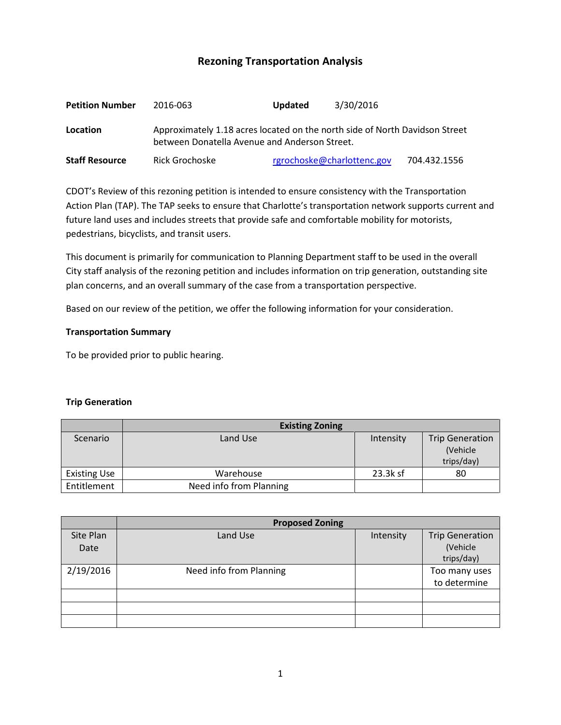# **Rezoning Transportation Analysis**

| <b>Petition Number</b> | 2016-063                                                                                                                     | <b>Updated</b>             | 3/30/2016 |              |  |  |
|------------------------|------------------------------------------------------------------------------------------------------------------------------|----------------------------|-----------|--------------|--|--|
| Location               | Approximately 1.18 acres located on the north side of North Davidson Street<br>between Donatella Avenue and Anderson Street. |                            |           |              |  |  |
| <b>Staff Resource</b>  | Rick Grochoske                                                                                                               | rgrochoske@charlottenc.gov |           | 704.432.1556 |  |  |

CDOT's Review of this rezoning petition is intended to ensure consistency with the Transportation Action Plan (TAP). The TAP seeks to ensure that Charlotte's transportation network supports current and future land uses and includes streets that provide safe and comfortable mobility for motorists, pedestrians, bicyclists, and transit users.

This document is primarily for communication to Planning Department staff to be used in the overall City staff analysis of the rezoning petition and includes information on trip generation, outstanding site plan concerns, and an overall summary of the case from a transportation perspective.

Based on our review of the petition, we offer the following information for your consideration.

### **Transportation Summary**

To be provided prior to public hearing.

#### **Trip Generation**

|                     | <b>Existing Zoning</b>  |           |                        |
|---------------------|-------------------------|-----------|------------------------|
| Scenario            | Land Use                | Intensity | <b>Trip Generation</b> |
|                     |                         |           | (Vehicle               |
|                     |                         |           | trips/day)             |
| <b>Existing Use</b> | Warehouse               | 23.3k sf  | 80                     |
| Entitlement         | Need info from Planning |           |                        |

|                   | <b>Proposed Zoning</b>  |           |                                                  |  |
|-------------------|-------------------------|-----------|--------------------------------------------------|--|
| Site Plan<br>Date | Land Use                | Intensity | <b>Trip Generation</b><br>(Vehicle<br>trips/day) |  |
| 2/19/2016         | Need info from Planning |           | Too many uses<br>to determine                    |  |
|                   |                         |           |                                                  |  |
|                   |                         |           |                                                  |  |
|                   |                         |           |                                                  |  |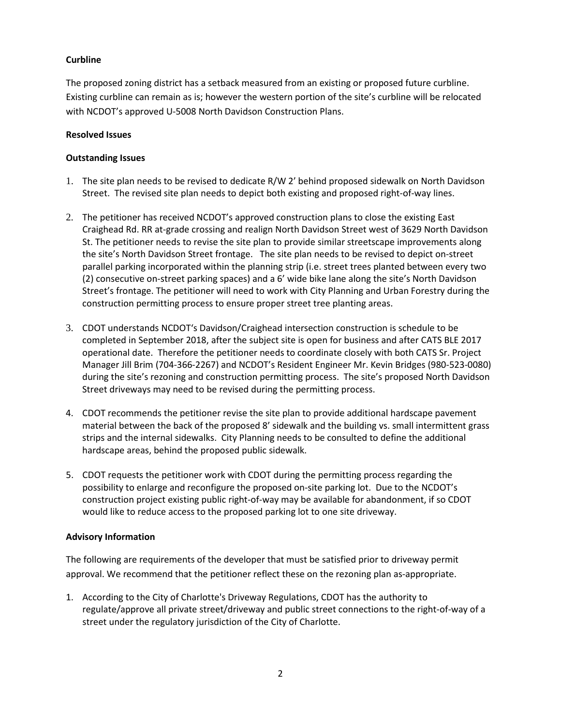## **Curbline**

The proposed zoning district has a setback measured from an existing or proposed future curbline. Existing curbline can remain as is; however the western portion of the site's curbline will be relocated with NCDOT's approved U-5008 North Davidson Construction Plans.

## **Resolved Issues**

## **Outstanding Issues**

- 1. The site plan needs to be revised to dedicate R/W 2' behind proposed sidewalk on North Davidson Street. The revised site plan needs to depict both existing and proposed right-of-way lines.
- 2. The petitioner has received NCDOT's approved construction plans to close the existing East Craighead Rd. RR at-grade crossing and realign North Davidson Street west of 3629 North Davidson St. The petitioner needs to revise the site plan to provide similar streetscape improvements along the site's North Davidson Street frontage. The site plan needs to be revised to depict on-street parallel parking incorporated within the planning strip (i.e. street trees planted between every two (2) consecutive on-street parking spaces) and a 6' wide bike lane along the site's North Davidson Street's frontage. The petitioner will need to work with City Planning and Urban Forestry during the construction permitting process to ensure proper street tree planting areas.
- 3. CDOT understands NCDOT's Davidson/Craighead intersection construction is schedule to be completed in September 2018, after the subject site is open for business and after CATS BLE 2017 operational date. Therefore the petitioner needs to coordinate closely with both CATS Sr. Project Manager Jill Brim (704-366-2267) and NCDOT's Resident Engineer Mr. Kevin Bridges (980-523-0080) during the site's rezoning and construction permitting process. The site's proposed North Davidson Street driveways may need to be revised during the permitting process.
- 4. CDOT recommends the petitioner revise the site plan to provide additional hardscape pavement material between the back of the proposed 8' sidewalk and the building vs. small intermittent grass strips and the internal sidewalks. City Planning needs to be consulted to define the additional hardscape areas, behind the proposed public sidewalk.
- 5. CDOT requests the petitioner work with CDOT during the permitting process regarding the possibility to enlarge and reconfigure the proposed on-site parking lot. Due to the NCDOT's construction project existing public right-of-way may be available for abandonment, if so CDOT would like to reduce access to the proposed parking lot to one site driveway.

## **Advisory Information**

The following are requirements of the developer that must be satisfied prior to driveway permit approval. We recommend that the petitioner reflect these on the rezoning plan as-appropriate.

1. According to the City of Charlotte's Driveway Regulations, CDOT has the authority to regulate/approve all private street/driveway and public street connections to the right-of-way of a street under the regulatory jurisdiction of the City of Charlotte.